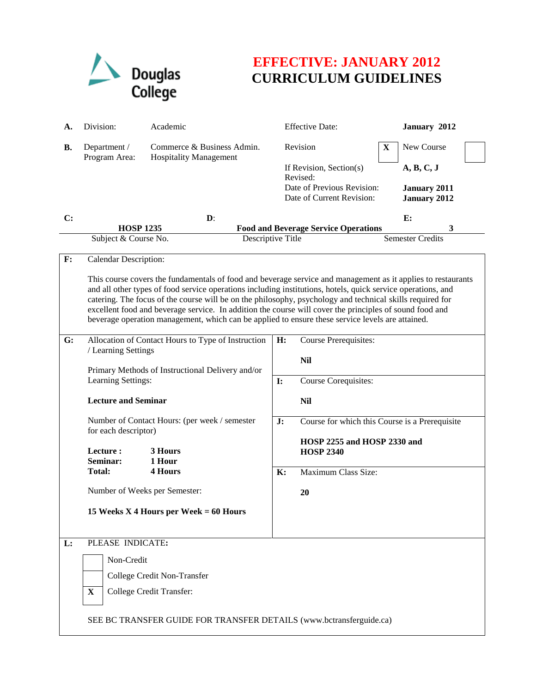

## **EFFECTIVE: JANUARY 2012 CURRICULUM GUIDELINES**

| А. | Division:                                                                                                                                                                                                                                                                                                                                                                                                                                                                                                                                                | Academic                                                               |    | <b>Effective Date:</b>                                                 |              | January 2012                               |  |  |
|----|----------------------------------------------------------------------------------------------------------------------------------------------------------------------------------------------------------------------------------------------------------------------------------------------------------------------------------------------------------------------------------------------------------------------------------------------------------------------------------------------------------------------------------------------------------|------------------------------------------------------------------------|----|------------------------------------------------------------------------|--------------|--------------------------------------------|--|--|
| В. | Department /<br>Program Area:                                                                                                                                                                                                                                                                                                                                                                                                                                                                                                                            | Commerce & Business Admin.<br><b>Hospitality Management</b>            |    | Revision                                                               | $\mathbf{X}$ | New Course                                 |  |  |
|    |                                                                                                                                                                                                                                                                                                                                                                                                                                                                                                                                                          |                                                                        |    | If Revision, Section(s)<br>Revised:                                    |              | A, B, C, J                                 |  |  |
|    |                                                                                                                                                                                                                                                                                                                                                                                                                                                                                                                                                          |                                                                        |    | Date of Previous Revision:<br>Date of Current Revision:                |              | <b>January 2011</b><br><b>January 2012</b> |  |  |
| C: | $\mathbf{D}$ :                                                                                                                                                                                                                                                                                                                                                                                                                                                                                                                                           |                                                                        |    |                                                                        |              | E:<br>3                                    |  |  |
|    | <b>HOSP 1235</b><br>Subject & Course No.<br>Descriptive Title                                                                                                                                                                                                                                                                                                                                                                                                                                                                                            |                                                                        |    | <b>Food and Beverage Service Operations</b><br><b>Semester Credits</b> |              |                                            |  |  |
| F: | <b>Calendar Description:</b>                                                                                                                                                                                                                                                                                                                                                                                                                                                                                                                             |                                                                        |    |                                                                        |              |                                            |  |  |
|    | This course covers the fundamentals of food and beverage service and management as it applies to restaurants<br>and all other types of food service operations including institutions, hotels, quick service operations, and<br>catering. The focus of the course will be on the philosophy, psychology and technical skills required for<br>excellent food and beverage service. In addition the course will cover the principles of sound food and<br>beverage operation management, which can be applied to ensure these service levels are attained. |                                                                        |    |                                                                        |              |                                            |  |  |
| G: | Allocation of Contact Hours to Type of Instruction<br>/ Learning Settings                                                                                                                                                                                                                                                                                                                                                                                                                                                                                |                                                                        | H: | Course Prerequisites:                                                  |              |                                            |  |  |
|    |                                                                                                                                                                                                                                                                                                                                                                                                                                                                                                                                                          |                                                                        |    | <b>Nil</b>                                                             |              |                                            |  |  |
|    |                                                                                                                                                                                                                                                                                                                                                                                                                                                                                                                                                          | Primary Methods of Instructional Delivery and/or<br>Learning Settings: |    | Course Corequisites:<br>$\mathbf{I}$ :                                 |              |                                            |  |  |
|    | <b>Lecture and Seminar</b><br>Number of Contact Hours: (per week / semester<br>for each descriptor)                                                                                                                                                                                                                                                                                                                                                                                                                                                      |                                                                        |    | <b>Nil</b>                                                             |              |                                            |  |  |
|    |                                                                                                                                                                                                                                                                                                                                                                                                                                                                                                                                                          |                                                                        | J: | Course for which this Course is a Prerequisite                         |              |                                            |  |  |
|    | Lecture:<br>Seminar:                                                                                                                                                                                                                                                                                                                                                                                                                                                                                                                                     | 3 Hours<br>1 Hour                                                      |    | HOSP 2255 and HOSP 2330 and<br><b>HOSP 2340</b>                        |              |                                            |  |  |
|    | <b>Total:</b>                                                                                                                                                                                                                                                                                                                                                                                                                                                                                                                                            | <b>4 Hours</b>                                                         | K: | Maximum Class Size:                                                    |              |                                            |  |  |
|    | Number of Weeks per Semester:<br>15 Weeks X 4 Hours per Week $= 60$ Hours                                                                                                                                                                                                                                                                                                                                                                                                                                                                                |                                                                        |    | 20                                                                     |              |                                            |  |  |
|    |                                                                                                                                                                                                                                                                                                                                                                                                                                                                                                                                                          |                                                                        |    |                                                                        |              |                                            |  |  |
| L: | PLEASE INDICATE:                                                                                                                                                                                                                                                                                                                                                                                                                                                                                                                                         |                                                                        |    |                                                                        |              |                                            |  |  |
|    | Non-Credit                                                                                                                                                                                                                                                                                                                                                                                                                                                                                                                                               |                                                                        |    |                                                                        |              |                                            |  |  |
|    | College Credit Non-Transfer                                                                                                                                                                                                                                                                                                                                                                                                                                                                                                                              |                                                                        |    |                                                                        |              |                                            |  |  |
|    | $\mathbf{X}$                                                                                                                                                                                                                                                                                                                                                                                                                                                                                                                                             | College Credit Transfer:                                               |    |                                                                        |              |                                            |  |  |
|    | SEE BC TRANSFER GUIDE FOR TRANSFER DETAILS (www.bctransferguide.ca)                                                                                                                                                                                                                                                                                                                                                                                                                                                                                      |                                                                        |    |                                                                        |              |                                            |  |  |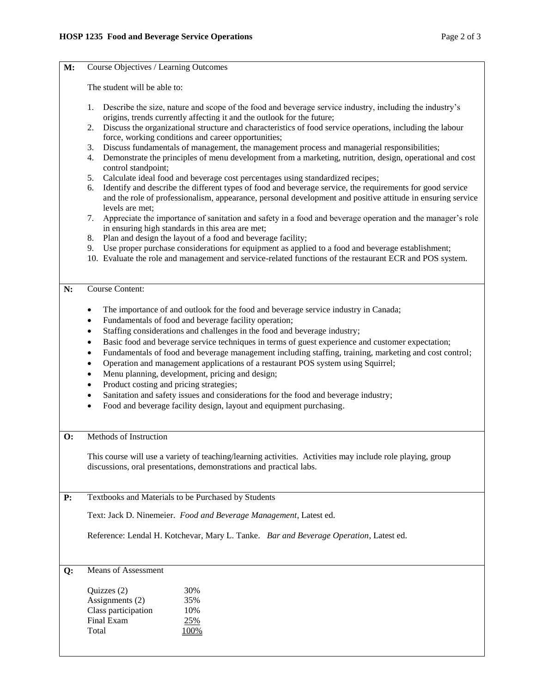| M:             | Course Objectives / Learning Outcomes                                                                                                                                                                                                                                                                                                     |  |  |  |  |  |
|----------------|-------------------------------------------------------------------------------------------------------------------------------------------------------------------------------------------------------------------------------------------------------------------------------------------------------------------------------------------|--|--|--|--|--|
|                | The student will be able to:                                                                                                                                                                                                                                                                                                              |  |  |  |  |  |
|                | 1.<br>Describe the size, nature and scope of the food and beverage service industry, including the industry's<br>origins, trends currently affecting it and the outlook for the future;                                                                                                                                                   |  |  |  |  |  |
|                | Discuss the organizational structure and characteristics of food service operations, including the labour<br>2.<br>force, working conditions and career opportunities;                                                                                                                                                                    |  |  |  |  |  |
|                | Discuss fundamentals of management, the management process and managerial responsibilities;<br>3.<br>Demonstrate the principles of menu development from a marketing, nutrition, design, operational and cost<br>4.<br>control standpoint;                                                                                                |  |  |  |  |  |
|                | Calculate ideal food and beverage cost percentages using standardized recipes;<br>5.<br>Identify and describe the different types of food and beverage service, the requirements for good service<br>6.<br>and the role of professionalism, appearance, personal development and positive attitude in ensuring service<br>levels are met; |  |  |  |  |  |
|                | Appreciate the importance of sanitation and safety in a food and beverage operation and the manager's role<br>7.<br>in ensuring high standards in this area are met;                                                                                                                                                                      |  |  |  |  |  |
|                | Plan and design the layout of a food and beverage facility;<br>8.<br>Use proper purchase considerations for equipment as applied to a food and beverage establishment;<br>9.<br>10. Evaluate the role and management and service-related functions of the restaurant ECR and POS system.                                                  |  |  |  |  |  |
| N:             | <b>Course Content:</b>                                                                                                                                                                                                                                                                                                                    |  |  |  |  |  |
|                | The importance of and outlook for the food and beverage service industry in Canada;<br>٠<br>Fundamentals of food and beverage facility operation;<br>$\bullet$                                                                                                                                                                            |  |  |  |  |  |
|                | Staffing considerations and challenges in the food and beverage industry;<br>$\bullet$                                                                                                                                                                                                                                                    |  |  |  |  |  |
|                | Basic food and beverage service techniques in terms of guest experience and customer expectation;<br>$\bullet$                                                                                                                                                                                                                            |  |  |  |  |  |
|                | Fundamentals of food and beverage management including staffing, training, marketing and cost control;<br>$\bullet$                                                                                                                                                                                                                       |  |  |  |  |  |
|                | Operation and management applications of a restaurant POS system using Squirrel;<br>$\bullet$<br>Menu planning, development, pricing and design;<br>$\bullet$                                                                                                                                                                             |  |  |  |  |  |
|                | Product costing and pricing strategies;<br>$\bullet$                                                                                                                                                                                                                                                                                      |  |  |  |  |  |
|                | Sanitation and safety issues and considerations for the food and beverage industry;<br>$\bullet$                                                                                                                                                                                                                                          |  |  |  |  |  |
|                | Food and beverage facility design, layout and equipment purchasing.<br>$\bullet$                                                                                                                                                                                                                                                          |  |  |  |  |  |
| $\mathbf{O}$ : | Methods of Instruction                                                                                                                                                                                                                                                                                                                    |  |  |  |  |  |
|                | This course will use a variety of teaching/learning activities. Activities may include role playing, group<br>discussions, oral presentations, demonstrations and practical labs.                                                                                                                                                         |  |  |  |  |  |
| P:             | Textbooks and Materials to be Purchased by Students                                                                                                                                                                                                                                                                                       |  |  |  |  |  |
|                | Text: Jack D. Ninemeier. Food and Beverage Management, Latest ed.                                                                                                                                                                                                                                                                         |  |  |  |  |  |
|                | Reference: Lendal H. Kotchevar, Mary L. Tanke. Bar and Beverage Operation, Latest ed.                                                                                                                                                                                                                                                     |  |  |  |  |  |
| Q:             | <b>Means of Assessment</b>                                                                                                                                                                                                                                                                                                                |  |  |  |  |  |
|                | Quizzes (2)<br>30%                                                                                                                                                                                                                                                                                                                        |  |  |  |  |  |
|                | Assignments (2)<br>35%                                                                                                                                                                                                                                                                                                                    |  |  |  |  |  |
|                | Class participation<br>10%<br>Final Exam<br>25%                                                                                                                                                                                                                                                                                           |  |  |  |  |  |
|                | Total<br><u>100%</u>                                                                                                                                                                                                                                                                                                                      |  |  |  |  |  |
|                |                                                                                                                                                                                                                                                                                                                                           |  |  |  |  |  |